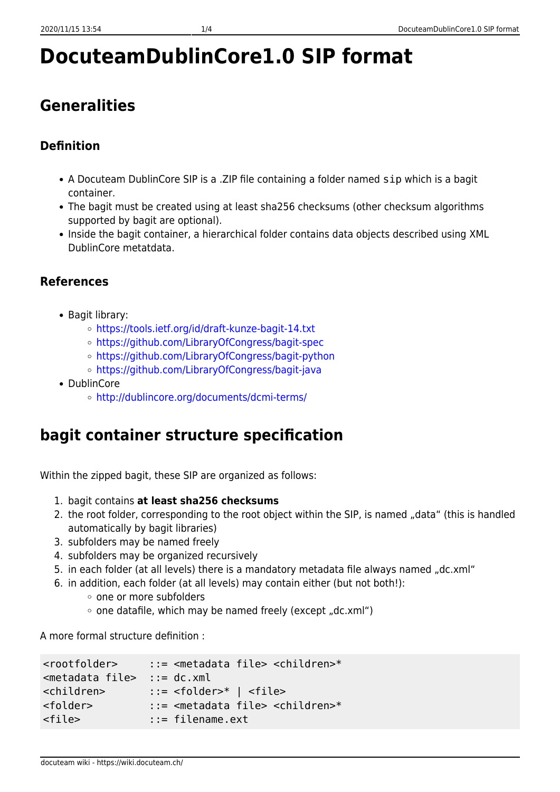# **DocuteamDublinCore1.0 SIP format**

# **Generalities**

## **Definition**

- A Docuteam DublinCore SIP is a .ZIP file containing a folder named sip which is a bagit container.
- The bagit must be created using at least sha256 checksums (other checksum algorithms supported by bagit are optional).
- Inside the bagit container, a hierarchical folder contains data objects described using XML DublinCore metatdata.

### **References**

- Bagit library:
	- <https://tools.ietf.org/id/draft-kunze-bagit-14.txt>
	- <https://github.com/LibraryOfCongress/bagit-spec>
	- <https://github.com/LibraryOfCongress/bagit-python>
	- o <https://github.com/LibraryOfCongress/bagit-java>
- DublinCore
	- <http://dublincore.org/documents/dcmi-terms/>

# **bagit container structure specification**

Within the zipped bagit, these SIP are organized as follows:

- 1. bagit contains **at least sha256 checksums**
- 2. the root folder, corresponding to the root object within the SIP, is named "data" (this is handled automatically by bagit libraries)
- 3. subfolders may be named freely
- 4. subfolders may be organized recursively
- 5. in each folder (at all levels) there is a mandatory metadata file always named "dc.xml"
- 6. in addition, each folder (at all levels) may contain either (but not both!):
	- one or more subfolders
	- $\circ$  one datafile, which may be named freely (except "dc.xml")

A more formal structure definition :

```
<rootfolder> ::= <metadata file> <children>*
<metadata file> ::= dc.xml
<children> ::= <folder>* | <file>
<folder> ::= <metadata file> <children>*
<file> ::= filename.ext
```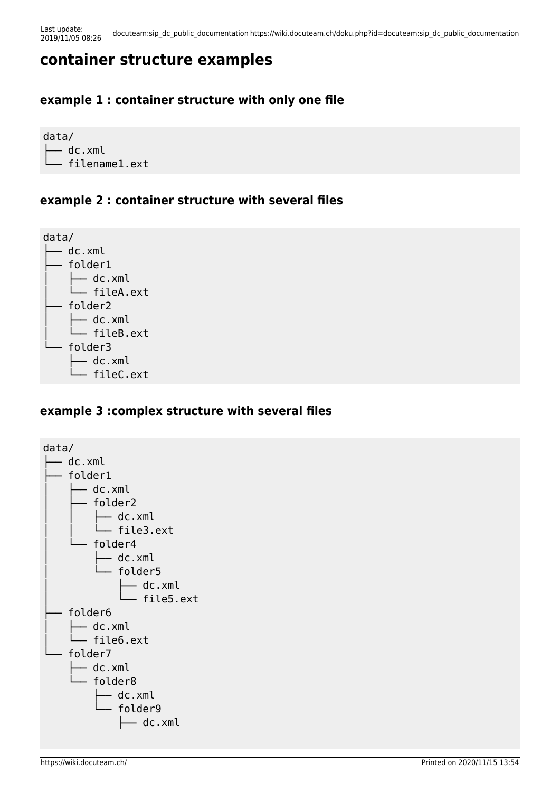# **container structure examples**

#### **example 1 : container structure with only one file**

data/ ├── dc.xml - filename1.ext

#### **example 2 : container structure with several files**



#### **example 3 :complex structure with several files**

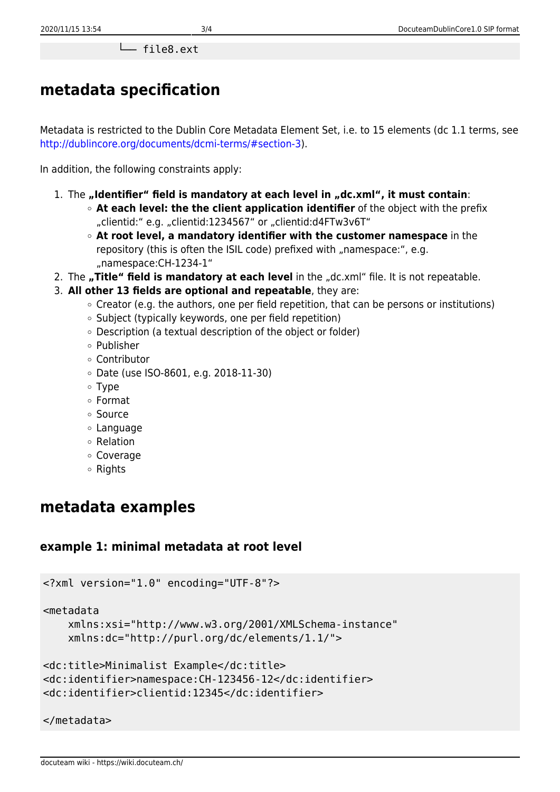└── file8.ext

# **metadata specification**

Metadata is restricted to the Dublin Core Metadata Element Set, i.e. to 15 elements (dc 1.1 terms, see <http://dublincore.org/documents/dcmi-terms/#section-3>).

In addition, the following constraints apply:

- 1. The "Identifier" field is mandatory at each level in "dc.xml", it must contain:
	- **At each level: the the client application identifier** of the object with the prefix "clientid:" e.g. "clientid:1234567" or "clientid:d4FTw3v6T"
	- **At root level, a mandatory identifier with the customer namespace** in the repository (this is often the ISIL code) prefixed with "namespace:", e.g. "namespace:CH-1234-1"
- 2. The **"Title" field is mandatory at each level** in the "dc.xml" file. It is not repeatable.
- 3. **All other 13 fields are optional and repeatable**, they are:
	- $\circ$  Creator (e.g. the authors, one per field repetition, that can be persons or institutions)
	- Subject (typically keywords, one per field repetition)
	- Description (a textual description of the object or folder)
	- Publisher
	- Contributor
	- Date (use ISO-8601, e.g. 2018-11-30)
	- Type
	- Format
	- Source
	- Language
	- Relation
	- Coverage
	- Rights

# **metadata examples**

#### **example 1: minimal metadata at root level**

```
<?xml version="1.0" encoding="UTF-8"?>
<metadata
    xmlns:xsi="http://www.w3.org/2001/XMLSchema-instance"
     xmlns:dc="http://purl.org/dc/elements/1.1/">
<dc:title>Minimalist Example</dc:title>
<dc:identifier>namespace:CH-123456-12</dc:identifier>
```

```
<dc:identifier>clientid:12345</dc:identifier>
```
#### </metadata>